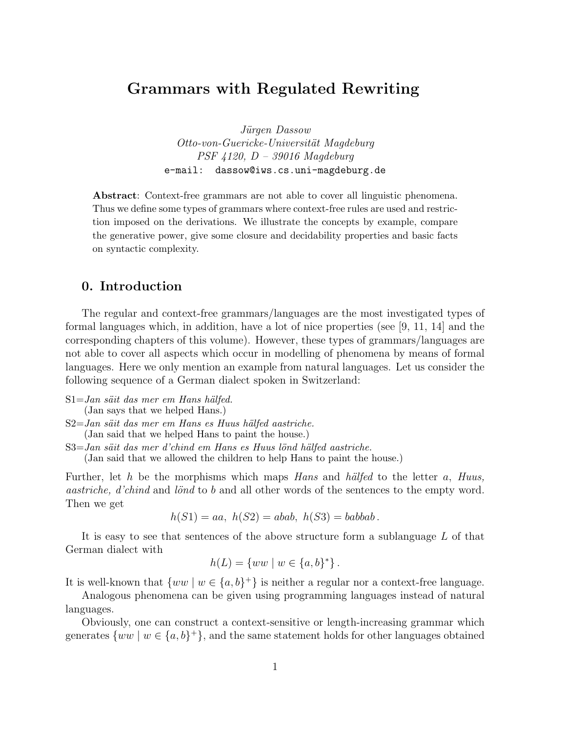## Grammars with Regulated Rewriting

Jürgen Dassow Otto-von-Guericke-Universität Magdeburg PSF 4120, D – 39016 Magdeburg e-mail: dassow@iws.cs.uni-magdeburg.de

Abstract: Context-free grammars are not able to cover all linguistic phenomena. Thus we define some types of grammars where context-free rules are used and restriction imposed on the derivations. We illustrate the concepts by example, compare the generative power, give some closure and decidability properties and basic facts on syntactic complexity.

### 0. Introduction

The regular and context-free grammars/languages are the most investigated types of formal languages which, in addition, have a lot of nice properties (see [9, 11, 14] and the corresponding chapters of this volume). However, these types of grammars/languages are not able to cover all aspects which occur in modelling of phenomena by means of formal languages. Here we only mention an example from natural languages. Let us consider the following sequence of a German dialect spoken in Switzerland:

- $S1 = Jan s\ddot{a}it$  das mer em Hans hälfed. (Jan says that we helped Hans.)
- S2=Jan säit das mer em Hans es Huus hälfed aastriche. (Jan said that we helped Hans to paint the house.)
- S3=Jan säit das mer d'chind em Hans es Huus lönd hälfed aastriche.

(Jan said that we allowed the children to help Hans to paint the house.)

Further, let h be the morphisms which maps Hans and hälfed to the letter a, Huus, aastriche, d'chind and lönd to b and all other words of the sentences to the empty word. Then we get

 $h(S1) = aa$ ,  $h(S2) = abab$ ,  $h(S3) = babbab$ .

It is easy to see that sentences of the above structure form a sublanguage L of that German dialect with

$$
h(L) = \{ww \mid w \in \{a, b\}^*\}.
$$

It is well-known that  $\{ww \mid w \in \{a, b\}^+\}$  is neither a regular nor a context-free language.

Analogous phenomena can be given using programming languages instead of natural languages.

Obviously, one can construct a context-sensitive or length-increasing grammar which generates  $\{ww \mid w \in \{a,b\}^+\}$ , and the same statement holds for other languages obtained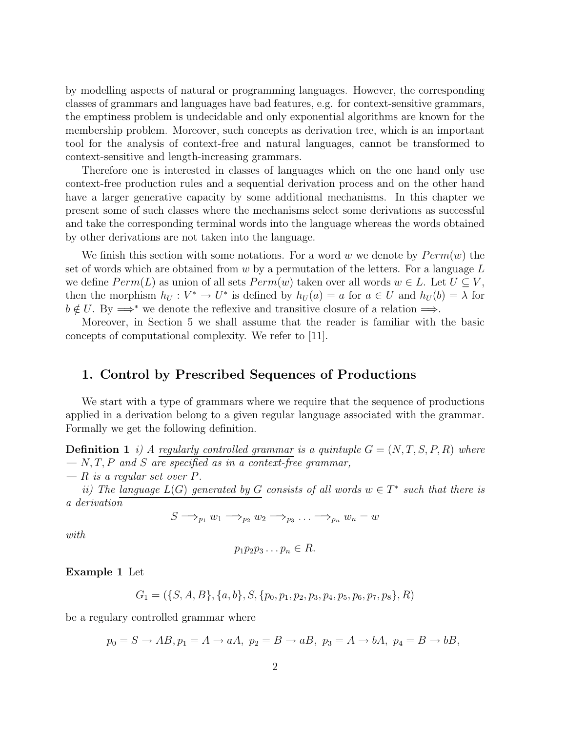by modelling aspects of natural or programming languages. However, the corresponding classes of grammars and languages have bad features, e.g. for context-sensitive grammars, the emptiness problem is undecidable and only exponential algorithms are known for the membership problem. Moreover, such concepts as derivation tree, which is an important tool for the analysis of context-free and natural languages, cannot be transformed to context-sensitive and length-increasing grammars.

Therefore one is interested in classes of languages which on the one hand only use context-free production rules and a sequential derivation process and on the other hand have a larger generative capacity by some additional mechanisms. In this chapter we present some of such classes where the mechanisms select some derivations as successful and take the corresponding terminal words into the language whereas the words obtained by other derivations are not taken into the language.

We finish this section with some notations. For a word w we denote by  $Perm(w)$  the set of words which are obtained from  $w$  by a permutation of the letters. For a language  $L$ we define  $Perm(L)$  as union of all sets  $Perm(w)$  taken over all words  $w \in L$ . Let  $U \subseteq V$ , then the morphism  $h_U: V^* \to U^*$  is defined by  $h_U(a) = a$  for  $a \in U$  and  $h_U(b) = \lambda$  for  $b \notin U$ . By  $\Longrightarrow^*$  we denote the reflexive and transitive closure of a relation  $\Longrightarrow$ .

Moreover, in Section 5 we shall assume that the reader is familiar with the basic concepts of computational complexity. We refer to [11].

#### 1. Control by Prescribed Sequences of Productions

We start with a type of grammars where we require that the sequence of productions applied in a derivation belong to a given regular language associated with the grammar. Formally we get the following definition.

**Definition 1** i) A regularly controlled grammar is a quintuple  $G = (N, T, S, P, R)$  where  $- N, T, P$  and S are specified as in a context-free grammar,

 $- R$  is a regular set over P.

ii) The language  $L(G)$  generated by G consists of all words  $w \in T^*$  such that there is a derivation

$$
S \Longrightarrow_{p_1} w_1 \Longrightarrow_{p_2} w_2 \Longrightarrow_{p_3} \ldots \Longrightarrow_{p_n} w_n = w
$$

with

$$
p_1p_2p_3\ldots p_n\in R.
$$

Example 1 Let

$$
G_1 = (\{S, A, B\}, \{a, b\}, S, \{p_0, p_1, p_2, p_3, p_4, p_5, p_6, p_7, p_8\}, R)
$$

be a regulary controlled grammar where

$$
p_0 = S \to AB, p_1 = A \to aA, p_2 = B \to aB, p_3 = A \to bA, p_4 = B \to bB,
$$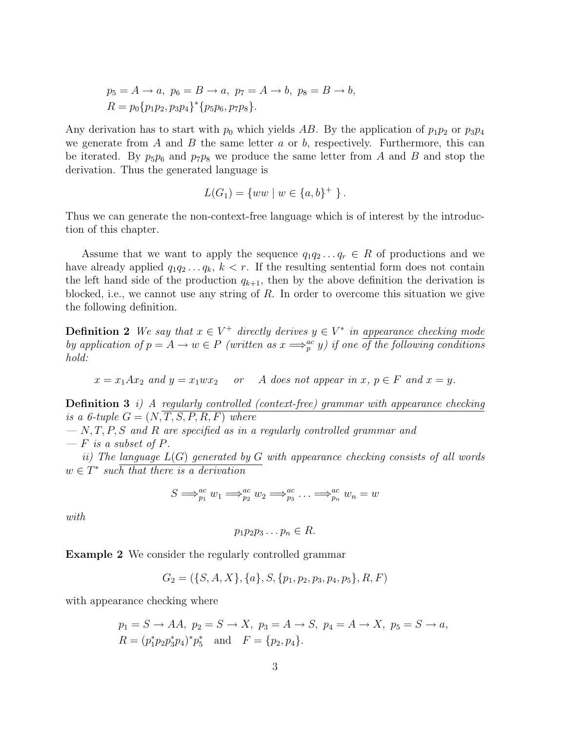$$
p_5 = A \rightarrow a
$$
,  $p_6 = B \rightarrow a$ ,  $p_7 = A \rightarrow b$ ,  $p_8 = B \rightarrow b$ ,  
\n $R = p_0 \{p_1 p_2, p_3 p_4\}^* \{p_5 p_6, p_7 p_8\}.$ 

Any derivation has to start with  $p_0$  which yields AB. By the application of  $p_1p_2$  or  $p_3p_4$ we generate from  $A$  and  $B$  the same letter  $a$  or  $b$ , respectively. Furthermore, this can be iterated. By  $p_5p_6$  and  $p_7p_8$  we produce the same letter from A and B and stop the derivation. Thus the generated language is

$$
L(G_1) = \{ww \mid w \in \{a, b\}^+ \}.
$$

Thus we can generate the non-context-free language which is of interest by the introduction of this chapter.

Assume that we want to apply the sequence  $q_1q_2 \ldots q_r \in R$  of productions and we have already applied  $q_1q_2 \ldots q_k$ ,  $k < r$ . If the resulting sentential form does not contain the left hand side of the production  $q_{k+1}$ , then by the above definition the derivation is blocked, i.e., we cannot use any string of  $R$ . In order to overcome this situation we give the following definition.

**Definition 2** We say that  $x \in V^+$  directly derives  $y \in V^*$  in appearance checking mode by application of  $p = A \rightarrow w \in P$  (written as  $x \Longrightarrow_p^{ac} y$ ) if one of the following conditions hold:

 $x = x_1 A x_2$  and  $y = x_1 w x_2$  or A does not appear in  $x, p \in F$  and  $x = y$ .

**Definition 3** i) A regularly controlled (context-free) grammar with appearance checking is a 6-tuple  $G = (N, T, S, P, R, F)$  where

 $- N, T, P, S$  and R are specified as in a regularly controlled grammar and  $- F$  is a subset of P.

ii) The language  $L(G)$  generated by G with appearance checking consists of all words  $w \in T^*$  such that there is a derivation

$$
S \Longrightarrow_{p_1}^{ac} w_1 \Longrightarrow_{p_2}^{ac} w_2 \Longrightarrow_{p_3}^{ac} \ldots \Longrightarrow_{p_n}^{ac} w_n = w
$$

with

$$
p_1p_2p_3\ldots p_n\in R.
$$

Example 2 We consider the regularly controlled grammar

$$
G_2 = (\{S, A, X\}, \{a\}, S, \{p_1, p_2, p_3, p_4, p_5\}, R, F)
$$

with appearance checking where

$$
p_1 = S \to AA
$$
,  $p_2 = S \to X$ ,  $p_3 = A \to S$ ,  $p_4 = A \to X$ ,  $p_5 = S \to a$ ,  
\n $R = (p_1^* p_2 p_3^* p_4)^* p_5^*$  and  $F = \{p_2, p_4\}$ .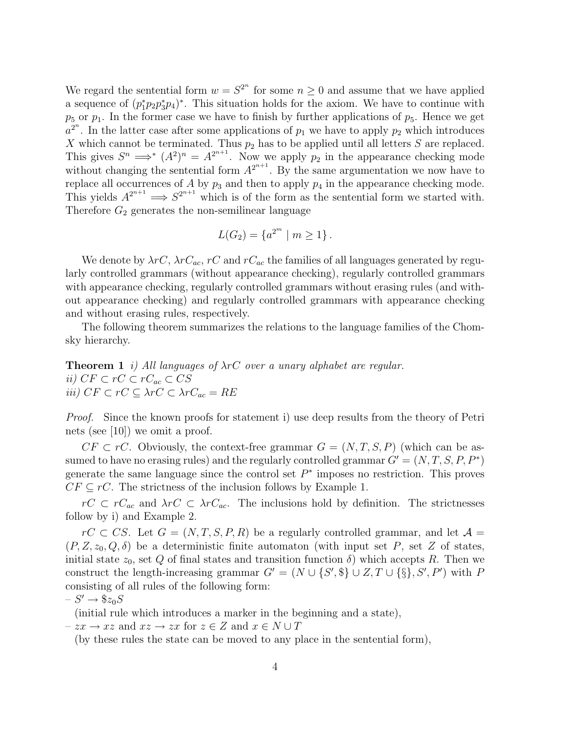We regard the sentential form  $w = S^{2^n}$  for some  $n \geq 0$  and assume that we have applied a sequence of  $(p_1^*p_2p_3^*p_4)^*$ . This situation holds for the axiom. We have to continue with  $p_5$  or  $p_1$ . In the former case we have to finish by further applications of  $p_5$ . Hence we get  $a^{2^n}$ . In the latter case after some applications of  $p_1$  we have to apply  $p_2$  which introduces X which cannot be terminated. Thus  $p_2$  has to be applied until all letters S are replaced. This gives  $S^n \implies (A^2)^n = A^{2^{n+1}}$ . Now we apply  $p_2$  in the appearance checking mode without changing the sentential form  $A^{2^{n+1}}$ . By the same argumentation we now have to replace all occurrences of  $A$  by  $p_3$  and then to apply  $p_4$  in the appearance checking mode. This yields  $A^{2^{n+1}} \implies S^{2^{n+1}}$  which is of the form as the sentential form we started with. Therefore  $G_2$  generates the non-semilinear language

$$
L(G_2) = \{a^{2^m} \mid m \ge 1\}.
$$

We denote by  $\lambda rC$ ,  $\lambda rC_{ac}$ ,  $rC$  and  $rC_{ac}$  the families of all languages generated by regularly controlled grammars (without appearance checking), regularly controlled grammars with appearance checking, regularly controlled grammars without erasing rules (and without appearance checking) and regularly controlled grammars with appearance checking and without erasing rules, respectively.

The following theorem summarizes the relations to the language families of the Chomsky hierarchy.

**Theorem 1** i) All languages of  $\lambda rC$  over a unary alphabet are regular. ii)  $CF \subset rC \subset rC_{ac} \subset CS$ iii)  $CF \subset rC \subseteq \lambda rC \subset \lambda rC_{ac} = RE$ 

*Proof.* Since the known proofs for statement i) use deep results from the theory of Petri nets (see [10]) we omit a proof.

 $CF \subset rC$ . Obviously, the context-free grammar  $G = (N, T, S, P)$  (which can be assumed to have no erasing rules) and the regularly controlled grammar  $G' = (N, T, S, P, P^*)$ generate the same language since the control set  $P^*$  imposes no restriction. This proves  $CF \subseteq rC$ . The strictness of the inclusion follows by Example 1.

 $rC \subset rC_{ac}$  and  $\lambda rC \subset \lambda rC_{ac}$ . The inclusions hold by definition. The strictnesses follow by i) and Example 2.

 $rC \subset CS$ . Let  $G = (N, T, S, P, R)$  be a regularly controlled grammar, and let  $\mathcal{A} =$  $(P, Z, z_0, Q, \delta)$  be a deterministic finite automaton (with input set P, set Z of states, initial state  $z_0$ , set Q of final states and transition function  $\delta$ ) which accepts R. Then we construct the length-increasing grammar  $G' = (N \cup \{S', \$\} \cup Z, T \cup \{\$\}, S', P')$  with P consisting of all rules of the following form:

 $-S' \to $z_0S$ 

(initial rule which introduces a marker in the beginning and a state),

 $-zx \to xz$  and  $xz \to zx$  for  $z \in Z$  and  $x \in N \cup T$ 

(by these rules the state can be moved to any place in the sentential form),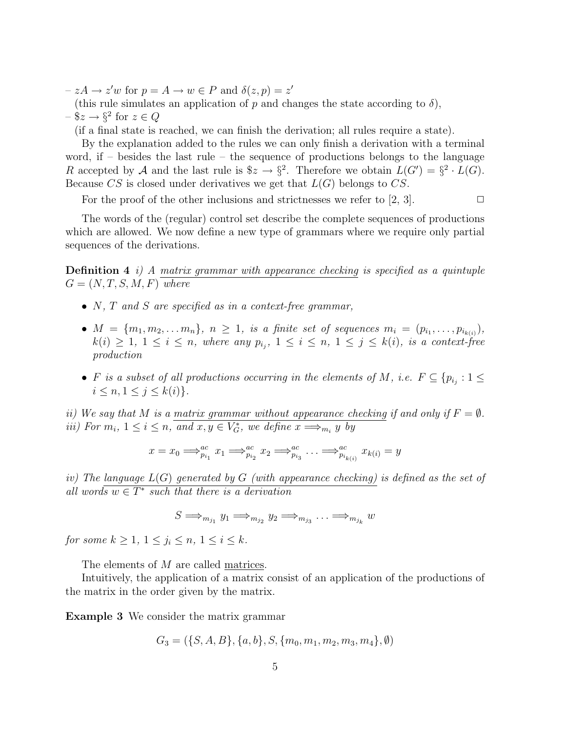- $-zA \rightarrow z'w$  for  $p = A \rightarrow w \in P$  and  $\delta(z, p) = z'$
- (this rule simulates an application of p and changes the state according to  $\delta$ ),

$$
-\$z \to \S^2 \text{ for } z \in Q
$$

(if a final state is reached, we can finish the derivation; all rules require a state).

By the explanation added to the rules we can only finish a derivation with a terminal word, if  $-$  besides the last rule  $-$  the sequence of productions belongs to the language R accepted by A and the last rule is  $\&z \to \S^2$ . Therefore we obtain  $L(G') = \S^2 \cdot L(G)$ . Because  $CS$  is closed under derivatives we get that  $L(G)$  belongs to  $CS$ .

For the proof of the other inclusions and strictnesses we refer to [2, 3].  $\Box$ 

The words of the (regular) control set describe the complete sequences of productions which are allowed. We now define a new type of grammars where we require only partial sequences of the derivations.

**Definition 4** i) A matrix grammar with appearance checking is specified as a quintuple  $G = (N, T, S, M, F)$  where

- $N$ ,  $T$  and  $S$  are specified as in a context-free grammar,
- $M = \{m_1, m_2, \ldots m_n\}, n \ge 1$ , is a finite set of sequences  $m_i = (p_{i_1}, \ldots, p_{i_{k(i)}}),$  $k(i) \geq 1, 1 \leq i \leq n$ , where any  $p_{i_j}$ ,  $1 \leq i \leq n, 1 \leq j \leq k(i)$ , is a context-free production
- F is a subset of all productions occurring in the elements of M, i.e.  $F \subseteq \{p_{i_j} : 1 \leq j \leq n_j\}$  $i \leq n, 1 \leq j \leq k(i)$ .

ii) We say that M is a matrix grammar without appearance checking if and only if  $F = \emptyset$ . *iii*) For  $m_i$ ,  $1 \leq i \leq n$ , and  $x, y \in V_G^*$ , we define  $x \Longrightarrow_{m_i} y$  by

$$
x = x_0 \Longrightarrow_{p_{i_1}}^{ac} x_1 \Longrightarrow_{p_{i_2}}^{ac} x_2 \Longrightarrow_{p_{i_3}}^{ac} \ldots \Longrightarrow_{p_{i_{k(i)}}}^{ac} x_{k(i)} = y
$$

iv) The language  $L(G)$  generated by G (with appearance checking) is defined as the set of all words  $w \in T^*$  such that there is a derivation

$$
S \Longrightarrow_{m_{j_1}} y_1 \Longrightarrow_{m_{j_2}} y_2 \Longrightarrow_{m_{j_3}} \ldots \Longrightarrow_{m_{j_k}} w
$$

for some  $k \geq 1, 1 \leq j_i \leq n, 1 \leq i \leq k$ .

The elements of M are called matrices.

Intuitively, the application of a matrix consist of an application of the productions of the matrix in the order given by the matrix.

Example 3 We consider the matrix grammar

$$
G_3 = (\{S, A, B\}, \{a, b\}, S, \{m_0, m_1, m_2, m_3, m_4\}, \emptyset)
$$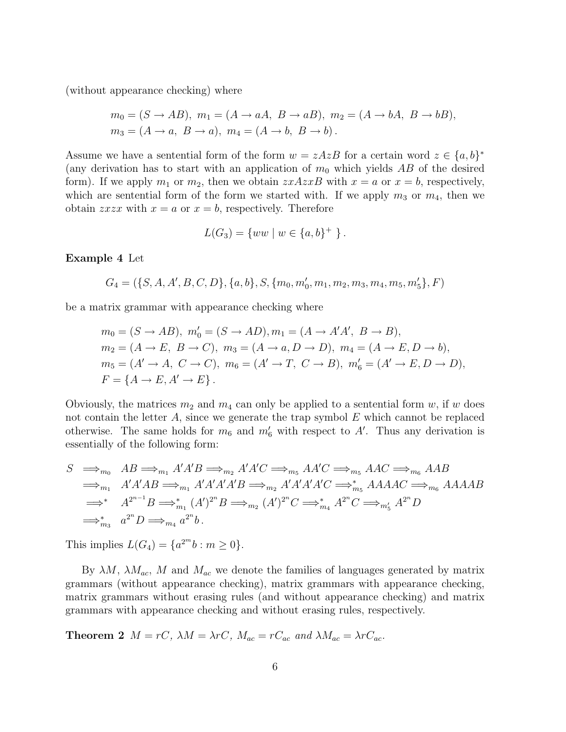(without appearance checking) where

$$
m_0 = (S \rightarrow AB), \ m_1 = (A \rightarrow aA, \ B \rightarrow aB), \ m_2 = (A \rightarrow bA, \ B \rightarrow bB),
$$
  
\n
$$
m_3 = (A \rightarrow a, \ B \rightarrow a), \ m_4 = (A \rightarrow b, \ B \rightarrow b).
$$

Assume we have a sentential form of the form  $w = zAzB$  for a certain word  $z \in \{a, b\}^*$ (any derivation has to start with an application of  $m_0$  which yields AB of the desired form). If we apply  $m_1$  or  $m_2$ , then we obtain  $x \land x \land x \land x \land x = a$  or  $x = b$ , respectively, which are sentential form of the form we started with. If we apply  $m_3$  or  $m_4$ , then we obtain *zxzx* with  $x = a$  or  $x = b$ , respectively. Therefore

$$
L(G_3) = \{ww \mid w \in \{a, b\}^+ \}.
$$

#### Example 4 Let

 $G_4 = (\{S, A, A', B, C, D\}, \{a, b\}, S, \{m_0, m'_0, m_1, m_2, m_3, m_4, m_5, m'_5\}, F)$ 

be a matrix grammar with appearance checking where

$$
m_0 = (S \to AB), \ m'_0 = (S \to AD), m_1 = (A \to A'A', \ B \to B),
$$
  
\n
$$
m_2 = (A \to E, \ B \to C), \ m_3 = (A \to a, D \to D), \ m_4 = (A \to E, D \to b),
$$
  
\n
$$
m_5 = (A' \to A, \ C \to C), \ m_6 = (A' \to T, \ C \to B), \ m'_6 = (A' \to E, D \to D),
$$
  
\n
$$
F = \{A \to E, A' \to E\}.
$$

Obviously, the matrices  $m_2$  and  $m_4$  can only be applied to a sentential form w, if w does not contain the letter  $A$ , since we generate the trap symbol  $E$  which cannot be replaced otherwise. The same holds for  $m_6$  and  $m'_6$  with respect to A'. Thus any derivation is essentially of the following form:

$$
S \implies_{m_0} AB \implies_{m_1} A'A'B \implies_{m_2} A'A'C \implies_{m_5} AA'C \implies_{m_5} AAC \implies_{m_6} AAB
$$
  
\n
$$
\implies_{m_1} A'A'AB \implies_{m_1} A'A'A'A'B \implies_{m_2} A'A'A'A'C \implies_{m_5} AAAAC \implies_{m_6} AAAAB
$$
  
\n
$$
\implies_{m_3}^* A^{2^{n-1}}B \implies_{m_1}^* (A')^{2^n}B \implies_{m_2} (A')^{2^n}C \implies_{m_4}^* A^{2^n}C \implies_{m'_5} A^{2^n}D
$$
  
\n
$$
\implies_{m_3}^* a^{2^n}D \implies_{m_4} a^{2^n}b.
$$

This implies  $L(G_4) = \{a^{2^m}b : m \ge 0\}.$ 

By  $\lambda M$ ,  $\lambda M_{ac}$ , M and  $M_{ac}$  we denote the families of languages generated by matrix grammars (without appearance checking), matrix grammars with appearance checking, matrix grammars without erasing rules (and without appearance checking) and matrix grammars with appearance checking and without erasing rules, respectively.

**Theorem 2**  $M = rC$ ,  $\lambda M = \lambda rC$ ,  $M_{ac} = rC_{ac}$  and  $\lambda M_{ac} = \lambda rC_{ac}$ .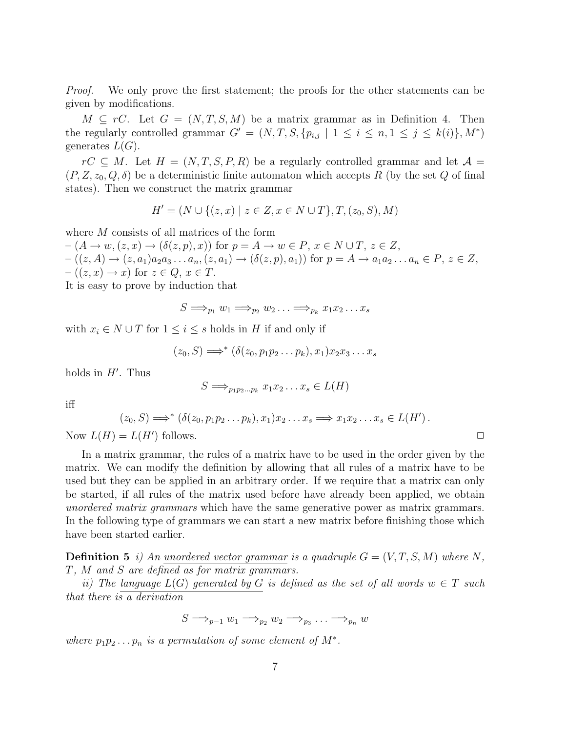*Proof.* We only prove the first statement; the proofs for the other statements can be given by modifications.

 $M \subseteq rC$ . Let  $G = (N, T, S, M)$  be a matrix grammar as in Definition 4. Then the regularly controlled grammar  $G' = (N, T, S, \{p_{i,j} \mid 1 \le i \le n, 1 \le j \le k(i)\}, M^*)$ generates  $L(G)$ .

 $rC \subseteq M$ . Let  $H = (N, T, S, P, R)$  be a regularly controlled grammar and let  $\mathcal{A} =$  $(P, Z, z_0, Q, \delta)$  be a deterministic finite automaton which accepts R (by the set Q of final states). Then we construct the matrix grammar

$$
H' = (N \cup \{(z, x) \mid z \in Z, x \in N \cup T\}, T, (z_0, S), M)
$$

where M consists of all matrices of the form

 $-(A \rightarrow w, (z, x) \rightarrow (\delta(z, p), x))$  for  $p = A \rightarrow w \in P$ ,  $x \in N \cup T$ ,  $z \in Z$ ,  $-( (z, A) \to (z, a_1)a_2a_3 \dots a_n, (z, a_1) \to (\delta(z, p), a_1))$  for  $p = A \to a_1a_2 \dots a_n \in P, z \in Z$ ,  $-((z, x) \rightarrow x)$  for  $z \in Q, x \in T$ .

It is easy to prove by induction that

$$
S \Longrightarrow_{p_1} w_1 \Longrightarrow_{p_2} w_2 \ldots \Longrightarrow_{p_k} x_1 x_2 \ldots x_s
$$

with  $x_i \in N \cup T$  for  $1 \leq i \leq s$  holds in H if and only if

$$
(z_0, S) \Longrightarrow^* (\delta(z_0, p_1 p_2 \dots p_k), x_1) x_2 x_3 \dots x_s
$$

holds in  $H'$ . Thus

$$
S \Longrightarrow_{p_1p_2...p_k} x_1x_2...x_s \in L(H)
$$

iff

$$
(z_0, S) \Longrightarrow^* (\delta(z_0, p_1 p_2 \ldots p_k), x_1) x_2 \ldots x_s \Longrightarrow x_1 x_2 \ldots x_s \in L(H').
$$

Now  $L(H) = L(H')$  follows.

In a matrix grammar, the rules of a matrix have to be used in the order given by the matrix. We can modify the definition by allowing that all rules of a matrix have to be used but they can be applied in an arbitrary order. If we require that a matrix can only be started, if all rules of the matrix used before have already been applied, we obtain unordered matrix grammars which have the same generative power as matrix grammars. In the following type of grammars we can start a new matrix before finishing those which have been started earlier.

**Definition 5** i) An unordered vector grammar is a quadruple  $G = (V, T, S, M)$  where N, T, M and S are defined as for matrix grammars.

ii) The language  $L(G)$  generated by G is defined as the set of all words  $w \in T$  such that there is a derivation

$$
S \Longrightarrow_{p-1} w_1 \Longrightarrow_{p_2} w_2 \Longrightarrow_{p_3} \ldots \Longrightarrow_{p_n} w
$$

where  $p_1p_2 \tldots p_n$  is a permutation of some element of  $M^*$ .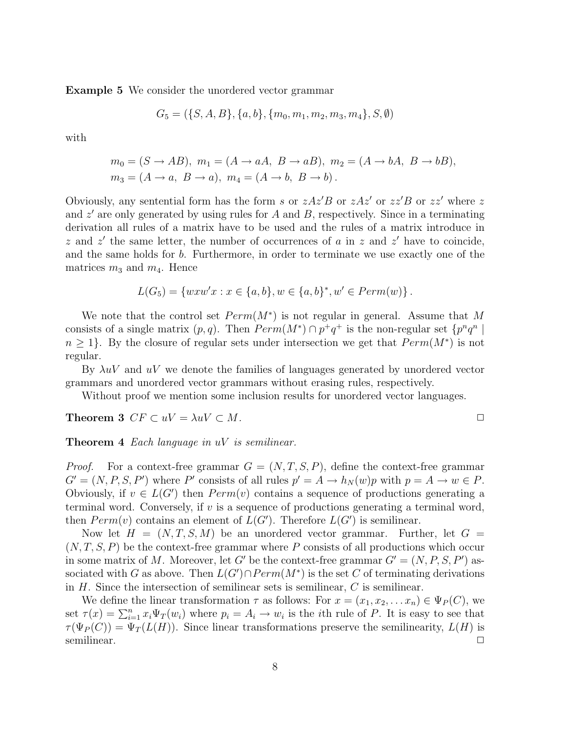Example 5 We consider the unordered vector grammar

$$
G_5 = (\{S, A, B\}, \{a, b\}, \{m_0, m_1, m_2, m_3, m_4\}, S, \emptyset)
$$

with

$$
m_0 = (S \rightarrow AB), \ m_1 = (A \rightarrow aA, \ B \rightarrow aB), \ m_2 = (A \rightarrow bA, \ B \rightarrow bB),
$$
  

$$
m_3 = (A \rightarrow a, \ B \rightarrow a), \ m_4 = (A \rightarrow b, \ B \rightarrow b).
$$

Obviously, any sentential form has the form s or  $zAz'B$  or  $zAz'$  or  $zz'B$  or  $zz'$  where z and  $z'$  are only generated by using rules for A and B, respectively. Since in a terminating derivation all rules of a matrix have to be used and the rules of a matrix introduce in z and z' the same letter, the number of occurrences of a in z and z' have to coincide, and the same holds for b. Furthermore, in order to terminate we use exactly one of the matrices  $m_3$  and  $m_4$ . Hence

$$
L(G_5) = \{ w x w' x : x \in \{a, b\}, w \in \{a, b\}^*, w' \in Perm(w) \}.
$$

We note that the control set  $Perm(M^*)$  is not regular in general. Assume that M consists of a single matrix  $(p, q)$ . Then  $Perm(M^*) \cap p^+q^+$  is the non-regular set  $\{p^nq^n \mid$  $n \geq 1$ . By the closure of regular sets under intersection we get that  $Perm(M^*)$  is not regular.

By  $\lambda uV$  and  $uV$  we denote the families of languages generated by unordered vector grammars and unordered vector grammars without erasing rules, respectively.

Without proof we mention some inclusion results for unordered vector languages.

Theorem 3  $CF \subset uV = \lambda uV \subset M$ .

$$
\Box
$$

**Theorem 4** Each language in  $uV$  is semilinear.

*Proof.* For a context-free grammar  $G = (N, T, S, P)$ , define the context-free grammar  $G' = (N, P, S, P')$  where P' consists of all rules  $p' = A \rightarrow h_N(w)p$  with  $p = A \rightarrow w \in P$ . Obviously, if  $v \in L(G')$  then  $Perm(v)$  contains a sequence of productions generating a terminal word. Conversely, if v is a sequence of productions generating a terminal word, then  $Perm(v)$  contains an element of  $L(G')$ . Therefore  $L(G')$  is semilinear.

Now let  $H = (N, T, S, M)$  be an unordered vector grammar. Further, let  $G =$  $(N, T, S, P)$  be the context-free grammar where P consists of all productions which occur in some matrix of M. Moreover, let G' be the context-free grammar  $G' = (N, P, S, P')$  associated with G as above. Then  $L(G') \cap Perm(M^*)$  is the set C of terminating derivations in  $H$ . Since the intersection of semilinear sets is semilinear,  $C$  is semilinear.

We define the linear transformation  $\tau$  as follows: For  $x = (x_1, x_2, \ldots, x_n) \in \Psi_P(C)$ , we set  $\tau(x) = \sum_{i=1}^{n} x_i \Psi_T(w_i)$  where  $p_i = A_i \rightarrow w_i$  is the *i*th rule of *P*. It is easy to see that  $\tau(\Psi_P(C)) = \Psi_T(L(H))$ . Since linear transformations preserve the semilinearity,  $L(H)$  is semilinear.  $\Box$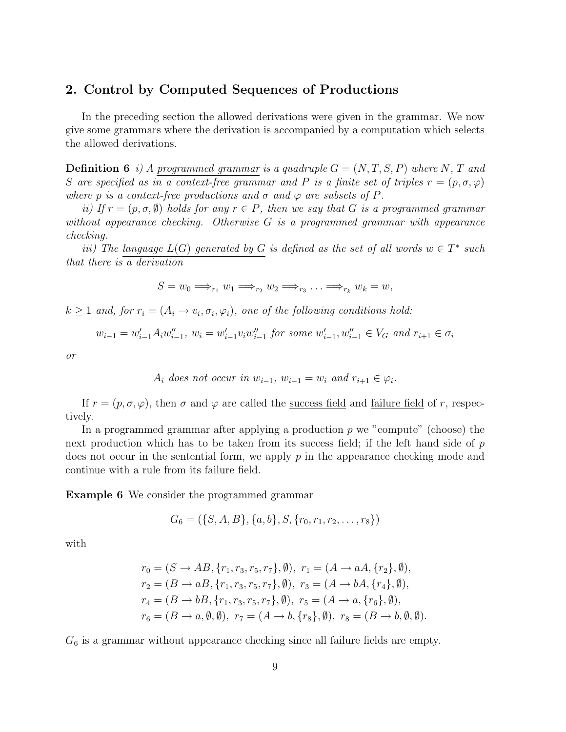#### 2. Control by Computed Sequences of Productions

In the preceding section the allowed derivations were given in the grammar. We now give some grammars where the derivation is accompanied by a computation which selects the allowed derivations.

**Definition 6** i) A programmed grammar is a quadruple  $G = (N, T, S, P)$  where N, T and S are specified as in a context-free grammar and P is a finite set of triples  $r = (p, \sigma, \varphi)$ where p is a context-free productions and  $\sigma$  and  $\varphi$  are subsets of P.

ii) If  $r = (p, \sigma, \emptyset)$  holds for any  $r \in P$ , then we say that G is a programmed grammar without appearance checking. Otherwise G is a programmed grammar with appearance checking.

iii) The language  $L(G)$  generated by G is defined as the set of all words  $w \in T^*$  such that there is a derivation

$$
S = w_0 \Longrightarrow_{r_1} w_1 \Longrightarrow_{r_2} w_2 \Longrightarrow_{r_3} \ldots \Longrightarrow_{r_k} w_k = w,
$$

 $k \geq 1$  and, for  $r_i = (A_i \rightarrow v_i, \sigma_i, \varphi_i)$ , one of the following conditions hold:

$$
w_{i-1} = w'_{i-1} A_i w''_{i-1}, w_i = w'_{i-1} v_i w''_{i-1}
$$
 for some  $w'_{i-1}, w''_{i-1} \in V_G$  and  $r_{i+1} \in \sigma_i$ 

or

$$
A_i \text{ does not occur in } w_{i-1}, \, w_{i-1} = w_i \text{ and } r_{i+1} \in \varphi_i.
$$

If  $r = (p, \sigma, \varphi)$ , then  $\sigma$  and  $\varphi$  are called the success field and failure field of r, respectively.

In a programmed grammar after applying a production  $p$  we "compute" (choose) the next production which has to be taken from its success field; if the left hand side of  $p$ does not occur in the sentential form, we apply  $p$  in the appearance checking mode and continue with a rule from its failure field.

Example 6 We consider the programmed grammar

$$
G_6 = (\{S, A, B\}, \{a, b\}, S, \{r_0, r_1, r_2, \dots, r_8\})
$$

with

$$
r_0 = (S \to AB, \{r_1, r_3, r_5, r_7\}, \emptyset), r_1 = (A \to aA, \{r_2\}, \emptyset),
$$
  
\n
$$
r_2 = (B \to aB, \{r_1, r_3, r_5, r_7\}, \emptyset), r_3 = (A \to bA, \{r_4\}, \emptyset),
$$
  
\n
$$
r_4 = (B \to bB, \{r_1, r_3, r_5, r_7\}, \emptyset), r_5 = (A \to a, \{r_6\}, \emptyset),
$$
  
\n
$$
r_6 = (B \to a, \emptyset, \emptyset), r_7 = (A \to b, \{r_8\}, \emptyset), r_8 = (B \to b, \emptyset, \emptyset).
$$

 $G<sub>6</sub>$  is a grammar without appearance checking since all failure fields are empty.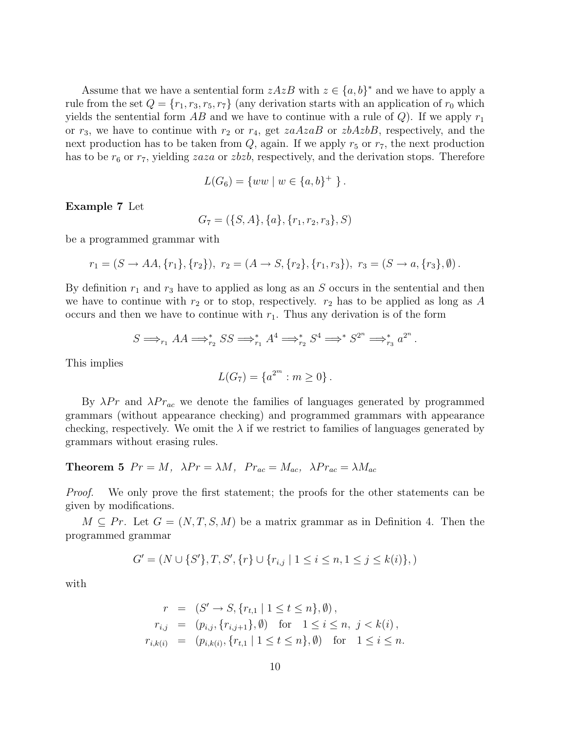Assume that we have a sentential form  $zAzB$  with  $z \in \{a, b\}^*$  and we have to apply a rule from the set  $Q = \{r_1, r_3, r_5, r_7\}$  (any derivation starts with an application of  $r_0$  which yields the sentential form AB and we have to continue with a rule of  $Q$ ). If we apply  $r_1$ or  $r_3$ , we have to continue with  $r_2$  or  $r_4$ , get  $zaAzaB$  or  $zbAzbB$ , respectively, and the next production has to be taken from  $Q$ , again. If we apply  $r_5$  or  $r_7$ , the next production has to be  $r_6$  or  $r_7$ , yielding zaza or zbzb, respectively, and the derivation stops. Therefore

$$
L(G_6) = \{ww \mid w \in \{a, b\}^+ \}.
$$

Example 7 Let

$$
G_7 = (\{S, A\}, \{a\}, \{r_1, r_2, r_3\}, S)
$$

be a programmed grammar with

$$
r_1 = (S \to AA, \{r_1\}, \{r_2\}), r_2 = (A \to S, \{r_2\}, \{r_1, r_3\}), r_3 = (S \to a, \{r_3\}, \emptyset).
$$

By definition  $r_1$  and  $r_3$  have to applied as long as an S occurs in the sentential and then we have to continue with  $r_2$  or to stop, respectively.  $r_2$  has to be applied as long as A occurs and then we have to continue with  $r_1$ . Thus any derivation is of the form

$$
S \Longrightarrow_{r_1} AA \Longrightarrow_{r_2}^* SS \Longrightarrow_{r_1}^* A^4 \Longrightarrow_{r_2}^* S^4 \Longrightarrow^* S^{2^n} \Longrightarrow_{r_3}^* a^{2^n}.
$$

This implies

$$
L(G_7) = \{a^{2^m} : m \ge 0\}.
$$

By  $\lambda Pr$  and  $\lambda Pr_{ac}$  we denote the families of languages generated by programmed grammars (without appearance checking) and programmed grammars with appearance checking, respectively. We omit the  $\lambda$  if we restrict to families of languages generated by grammars without erasing rules.

**Theorem 5**  $Pr = M$ ,  $\lambda Pr = \lambda M$ ,  $Pr_{ac} = M_{ac}$ ,  $\lambda Pr_{ac} = \lambda M_{ac}$ 

*Proof.* We only prove the first statement; the proofs for the other statements can be given by modifications.

 $M \subseteq Pr$ . Let  $G = (N, T, S, M)$  be a matrix grammar as in Definition 4. Then the programmed grammar

$$
G' = (N \cup \{S'\}, T, S', \{r\} \cup \{r_{i,j} \mid 1 \le i \le n, 1 \le j \le k(i)\},)
$$

with

$$
r = (S' \to S, \{r_{t,1} \mid 1 \le t \le n\}, \emptyset),
$$
  
\n
$$
r_{i,j} = (p_{i,j}, \{r_{i,j+1}\}, \emptyset) \text{ for } 1 \le i \le n, j < k(i),
$$
  
\n
$$
r_{i,k(i)} = (p_{i,k(i)}, \{r_{t,1} \mid 1 \le t \le n\}, \emptyset) \text{ for } 1 \le i \le n.
$$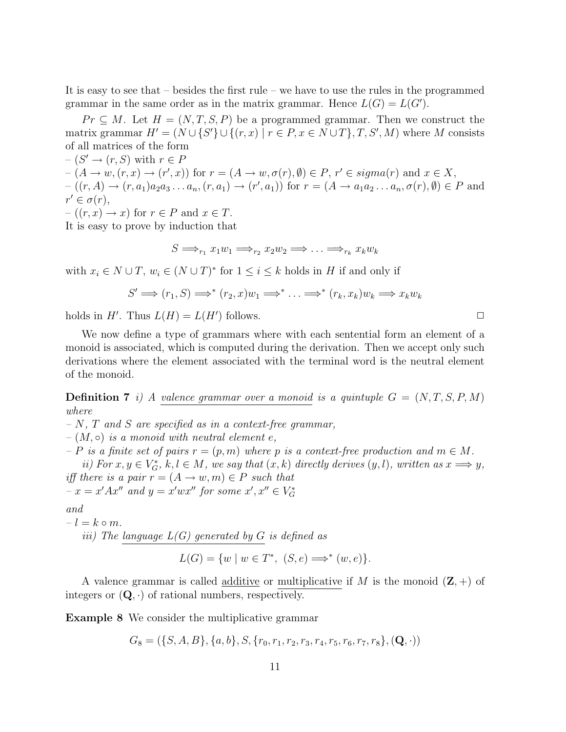It is easy to see that – besides the first rule – we have to use the rules in the programmed grammar in the same order as in the matrix grammar. Hence  $L(G) = L(G')$ .

 $Pr \subseteq M$ . Let  $H = (N, T, S, P)$  be a programmed grammar. Then we construct the matrix grammar  $H' = (N \cup \{S'\} \cup \{(r, x) \mid r \in P, x \in N \cup T\}, T, S', M)$  where M consists of all matrices of the form

 $-(S' \rightarrow (r, S)$  with  $r \in F$  $-(A \rightarrow w, (r, x) \rightarrow (r', x))$  for  $r = (A \rightarrow w, \sigma(r), \emptyset) \in P$ ,  $r' \in sigma(r)$  and  $x \in X$ ,  $-(r,A) \to (r,a_1)a_2a_3\ldots a_n, (r,a_1) \to (r',a_1))$  for  $r = (A \to a_1a_2\ldots a_n, \sigma(r), \emptyset) \in P$  and  $r' \in \sigma(r)$ ,

 $-(r, x) \to x$  for  $r \in P$  and  $x \in T$ .

It is easy to prove by induction that

$$
S \Longrightarrow_{r_1} x_1w_1 \Longrightarrow_{r_2} x_2w_2 \Longrightarrow \ldots \Longrightarrow_{r_k} x_kw_k
$$

with  $x_i \in N \cup T$ ,  $w_i \in (N \cup T)^*$  for  $1 \leq i \leq k$  holds in H if and only if

$$
S' \Longrightarrow (r_1, S) \Longrightarrow^* (r_2, x) w_1 \Longrightarrow^* \ldots \Longrightarrow^* (r_k, x_k) w_k \Longrightarrow x_k w_k
$$

holds in H'. Thus  $L(H) = L(H')$  follows.

We now define a type of grammars where with each sentential form an element of a monoid is associated, which is computed during the derivation. Then we accept only such derivations where the element associated with the terminal word is the neutral element of the monoid.

**Definition 7** i) A valence grammar over a monoid is a quintuple  $G = (N, T, S, P, M)$ where

 $- N$ , T and S are specified as in a context-free grammar,

 $-(M, \circ)$  is a monoid with neutral element e,

– P is a finite set of pairs  $r = (p, m)$  where p is a context-free production and  $m \in M$ .

ii) For  $x, y \in V_G^*$ ,  $k, l \in M$ , we say that  $(x, k)$  directly derives  $(y, l)$ , written as  $x \Longrightarrow y$ , iff there is a pair  $r = (A \rightarrow w, m) \in P$  such that  $-x = x'Ax''$  and  $y = x'wx''$  for some  $x', x'' \in V_G^*$ 

and

 $-l = k \circ m$ . iii) The language  $L(G)$  generated by G is defined as

$$
L(G) = \{ w \mid w \in T^*, \ (S, e) \Longrightarrow^* (w, e) \}.
$$

A valence grammar is called <u>additive</u> or multiplicative if M is the monoid  $(\mathbf{Z}, +)$  of integers or  $(Q, \cdot)$  of rational numbers, respectively.

Example 8 We consider the multiplicative grammar

$$
G_8 = (\{S, A, B\}, \{a, b\}, S, \{r_0, r_1, r_2, r_3, r_4, r_5, r_6, r_7, r_8\}, (\mathbf{Q}, \cdot))
$$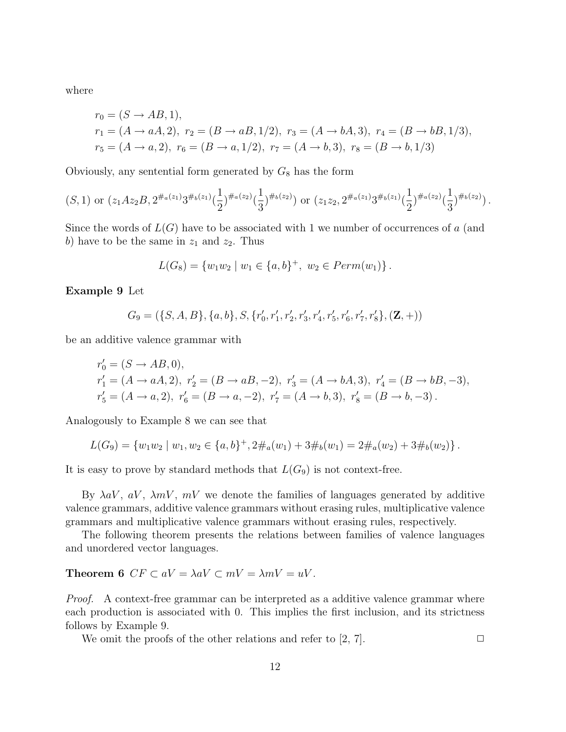where

$$
r_0 = (S \to AB, 1),
$$
  
\n
$$
r_1 = (A \to aA, 2), r_2 = (B \to aB, 1/2), r_3 = (A \to bA, 3), r_4 = (B \to bB, 1/3),
$$
  
\n
$$
r_5 = (A \to a, 2), r_6 = (B \to a, 1/2), r_7 = (A \to b, 3), r_8 = (B \to b, 1/3)
$$

Obviously, any sentential form generated by  $G_8$  has the form

$$
(S,1)
$$
 or  $(z_1Az_2B, 2^{\#_a(z_1)}3^{\#_b(z_1)}(\frac{1}{2})^{\#_a(z_2)}(\frac{1}{3})^{\#_b(z_2)})$  or  $(z_1z_2, 2^{\#_a(z_1)}3^{\#_b(z_1)}(\frac{1}{2})^{\#_a(z_2)}(\frac{1}{3})^{\#_b(z_2)})$ .

Since the words of  $L(G)$  have to be associated with 1 we number of occurrences of a (and b) have to be the same in  $z_1$  and  $z_2$ . Thus

$$
L(G_8) = \{w_1w_2 \mid w_1 \in \{a, b\}^+, w_2 \in Perm(w_1)\}.
$$

Example 9 Let

$$
G_9 = (\{S, A, B\}, \{a, b\}, S, \{r'_0, r'_1, r'_2, r'_3, r'_4, r'_5, r'_6, r'_7, r'_8\}, (\mathbf{Z}, +))
$$

be an additive valence grammar with

$$
\begin{aligned} & r'_0 = (S \to AB, 0), \\ & r'_1 = (A \to aA, 2), \ r'_2 = (B \to aB, -2), \ r'_3 = (A \to bA, 3), \ r'_4 = (B \to bB, -3), \\ & r'_5 = (A \to a, 2), \ r'_6 = (B \to a, -2), \ r'_7 = (A \to b, 3), \ r'_8 = (B \to b, -3). \end{aligned}
$$

Analogously to Example 8 we can see that

$$
L(G_9) = \{w_1w_2 \mid w_1, w_2 \in \{a, b\}^+, 2\#_a(w_1) + 3\#_b(w_1) = 2\#_a(w_2) + 3\#_b(w_2)\}.
$$

It is easy to prove by standard methods that  $L(G_9)$  is not context-free.

By  $\lambda aV$ ,  $aV$ ,  $\lambda mV$ ,  $mV$  we denote the families of languages generated by additive valence grammars, additive valence grammars without erasing rules, multiplicative valence grammars and multiplicative valence grammars without erasing rules, respectively.

The following theorem presents the relations between families of valence languages and unordered vector languages.

#### **Theorem 6**  $CF \subset aV = \lambda aV \subset mV = \lambda mV = uV$ .

Proof. A context-free grammar can be interpreted as a additive valence grammar where each production is associated with 0. This implies the first inclusion, and its strictness follows by Example 9.

We omit the proofs of the other relations and refer to  $[2, 7]$ .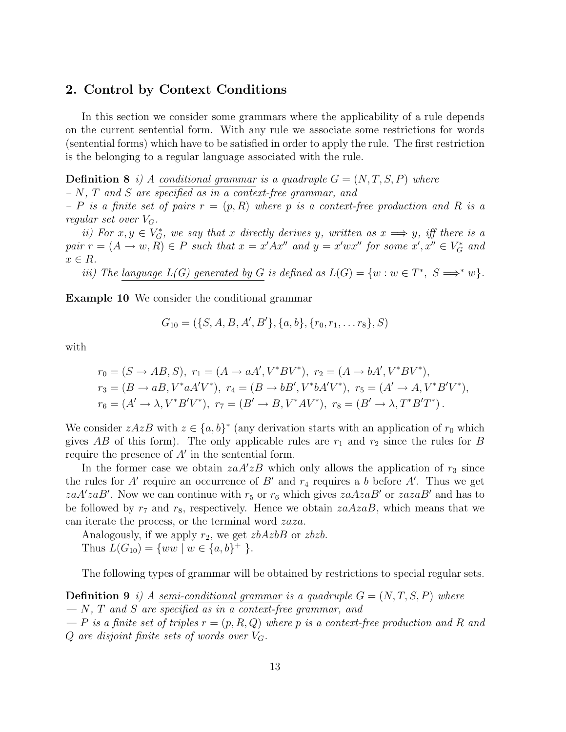#### 2. Control by Context Conditions

In this section we consider some grammars where the applicability of a rule depends on the current sentential form. With any rule we associate some restrictions for words (sentential forms) which have to be satisfied in order to apply the rule. The first restriction is the belonging to a regular language associated with the rule.

**Definition 8** i) A conditional grammar is a quadruple  $G = (N, T, S, P)$  where  $- N$ ,  $T$  and  $S$  are specified as in a context-free grammar, and

– P is a finite set of pairs  $r = (p, R)$  where p is a context-free production and R is a regular set over  $V_G$ .

ii) For  $x, y \in V_G^*$ , we say that x directly derives y, written as  $x \Longrightarrow y$ , iff there is a pair  $r = (A \rightarrow w, R) \in P$  such that  $x = x'Ax''$  and  $y = x'wx''$  for some  $x', x'' \in V_G^*$  and  $x \in R$ .

iii) The language  $L(G)$  generated by G is defined as  $L(G) = \{w : w \in T^*, S \Longrightarrow^* w\}.$ 

Example 10 We consider the conditional grammar

$$
G_{10} = (\{S, A, B, A', B'\}, \{a, b\}, \{r_0, r_1, \ldots r_8\}, S)
$$

with

$$
r_0 = (S \to AB, S), r_1 = (A \to aA', V^*BV^*), r_2 = (A \to bA', V^*BV^*),
$$
  
\n
$$
r_3 = (B \to aB, V^*aA'V^*), r_4 = (B \to bB', V^*bA'V^*), r_5 = (A' \to A, V^*B'V^*),
$$
  
\n
$$
r_6 = (A' \to \lambda, V^*B'V^*), r_7 = (B' \to B, V^*AV^*), r_8 = (B' \to \lambda, T^*B'T^*).
$$

We consider  $zAzB$  with  $z \in \{a, b\}^*$  (any derivation starts with an application of  $r_0$  which gives AB of this form). The only applicable rules are  $r_1$  and  $r_2$  since the rules for B require the presence of  $A'$  in the sentential form.

In the former case we obtain  $z a A' z B$  which only allows the application of  $r_3$  since the rules for A' require an occurrence of B' and  $r_4$  requires a b before A'. Thus we get zaA'zaB'. Now we can continue with  $r_5$  or  $r_6$  which gives  $zaAzaB'$  or  $zazaB'$  and has to be followed by  $r_7$  and  $r_8$ , respectively. Hence we obtain  $zaAzaB$ , which means that we can iterate the process, or the terminal word zaza.

Analogously, if we apply  $r_2$ , we get  $zbAzbB$  or  $zbzb$ . Thus  $L(G_{10}) = \{ww \mid w \in \{a,b\}^+\}.$ 

The following types of grammar will be obtained by restrictions to special regular sets.

**Definition 9** i) A semi-conditional grammar is a quadruple  $G = (N, T, S, P)$  where  $- N$ , T and S are specified as in a context-free grammar, and  $-P$  is a finite set of triples  $r = (p, R, Q)$  where p is a context-free production and R and

Q are disjoint finite sets of words over  $V_G$ .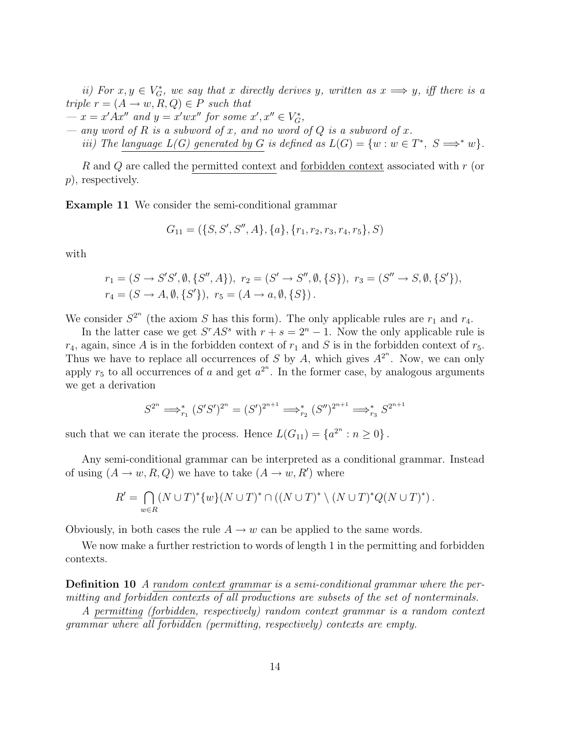ii) For  $x, y \in V_G^*$ , we say that x directly derives y, written as  $x \Longrightarrow y$ , iff there is a triple  $r = (A \rightarrow w, R, Q) \in P$  such that

- $x = x' A x''$  and  $y = x' w x''$  for some  $x', x'' \in V_G^*$ ,
- any word of R is a subword of x, and no word of Q is a subword of x.

iii) The language  $L(G)$  generated by G is defined as  $L(G) = \{w : w \in T^*, S \implies^* w\}.$ 

R and Q are called the permitted context and forbidden context associated with r (or p), respectively.

Example 11 We consider the semi-conditional grammar

$$
G_{11} = (\{S, S', S'', A\}, \{a\}, \{r_1, r_2, r_3, r_4, r_5\}, S)
$$

with

$$
r_1 = (S \to S'S', \emptyset, \{S'', A\}), r_2 = (S' \to S'', \emptyset, \{S\}), r_3 = (S'' \to S, \emptyset, \{S'\}),
$$
  

$$
r_4 = (S \to A, \emptyset, \{S'\}), r_5 = (A \to a, \emptyset, \{S\}).
$$

We consider  $S^{2^n}$  (the axiom S has this form). The only applicable rules are  $r_1$  and  $r_4$ .

In the latter case we get  $S^rAS^s$  with  $r + s = 2^n - 1$ . Now the only applicable rule is  $r_4$ , again, since A is in the forbidden context of  $r_1$  and S is in the forbidden context of  $r_5$ . Thus we have to replace all occurrences of S by A, which gives  $A^{2^n}$ . Now, we can only apply  $r_5$  to all occurrences of a and get  $a^{2^n}$ . In the former case, by analogous arguments we get a derivation

$$
S^{2^n} \Longrightarrow_{r_1}^* (S'S')^{2^n} = (S')^{2^{n+1}} \Longrightarrow_{r_2}^* (S'')^{2^{n+1}} \Longrightarrow_{r_3}^* S^{2^{n+1}}
$$

such that we can iterate the process. Hence  $L(G_{11}) = \{a^{2^n} : n \ge 0\}$ .

Any semi-conditional grammar can be interpreted as a conditional grammar. Instead of using  $(A \to w, R, Q)$  we have to take  $(A \to w, R')$  where

$$
R' = \bigcap_{w \in R} (N \cup T)^{*} \{w\} (N \cup T)^{*} \cap ((N \cup T)^{*} \setminus (N \cup T)^{*} Q(N \cup T)^{*}).
$$

Obviously, in both cases the rule  $A \to w$  can be applied to the same words.

We now make a further restriction to words of length 1 in the permitting and forbidden contexts.

Definition 10 A random context grammar is a semi-conditional grammar where the permitting and forbidden contexts of all productions are subsets of the set of nonterminals.

A permitting (forbidden, respectively) random context grammar is a random context grammar where all forbidden (permitting, respectively) contexts are empty.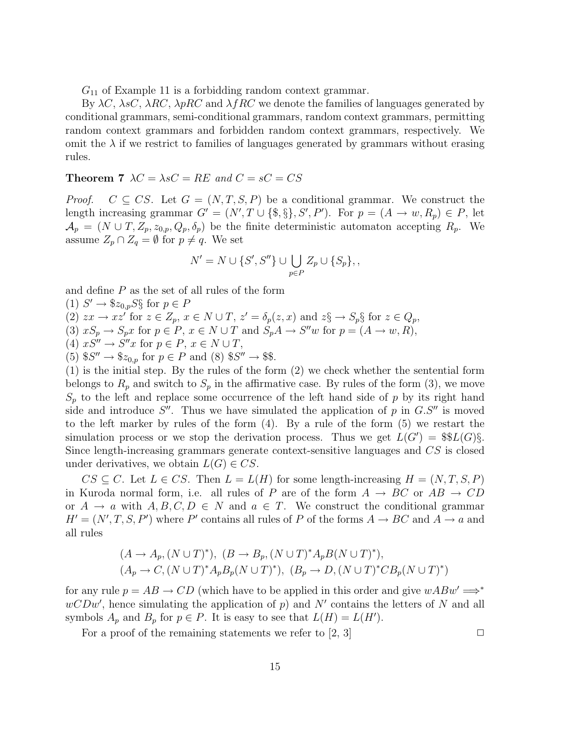$G_{11}$  of Example 11 is a forbidding random context grammar.

By  $\lambda C$ ,  $\lambda sC$ ,  $\lambda RC$ ,  $\lambda pRC$  and  $\lambda fRC$  we denote the families of languages generated by conditional grammars, semi-conditional grammars, random context grammars, permitting random context grammars and forbidden random context grammars, respectively. We omit the  $\lambda$  if we restrict to families of languages generated by grammars without erasing rules.

#### **Theorem 7**  $\lambda C = \lambda sC = RE$  and  $C = sC = CS$

*Proof.*  $C \subseteq CS$ . Let  $G = (N, T, S, P)$  be a conditional grammar. We construct the length increasing grammar  $G' = (N', T \cup \{\$\}, S', P')$ . For  $p = (A \rightarrow w, R_p) \in P$ , let  $\mathcal{A}_p = (N \cup T, Z_p, z_{0,p}, Q_p, \delta_p)$  be the finite deterministic automaton accepting  $R_p$ . We assume  $Z_p \cap Z_q = \emptyset$  for  $p \neq q$ . We set

$$
N' = N \cup \{S', S''\} \cup \bigcup_{p \in P} Z_p \cup \{S_p\},\,
$$

and define  $P$  as the set of all rules of the form

(1)  $S' \to \$z_{0,p}S\S$  for  $p \in P$ (2)  $zx \to xz'$  for  $z \in Z_p$ ,  $x \in N \cup T$ ,  $z' = \delta_p(z, x)$  and  $z \S \to S_p \S$  for  $z \in Q_p$ , (3)  $xS_p \to S_px$  for  $p \in P$ ,  $x \in N \cup T$  and  $S_pA \to S''w$  for  $p = (A \to w, R)$ , (4)  $xS'' \to S''x$  for  $p \in P$ ,  $x \in N \cup T$ , (5)  $S''' \to \mathcal{Z}_{0,p}$  for  $p \in P$  and (8)  $S''' \to \mathcal{Z}$ .

(1) is the initial step. By the rules of the form (2) we check whether the sentential form belongs to  $R_p$  and switch to  $S_p$  in the affirmative case. By rules of the form (3), we move  $S_p$  to the left and replace some occurrence of the left hand side of p by its right hand side and introduce  $S''$ . Thus we have simulated the application of p in  $G.S''$  is moved to the left marker by rules of the form (4). By a rule of the form (5) we restart the simulation process or we stop the derivation process. Thus we get  $L(G') = \frac{\$L(G)\$}{S}$ . Since length-increasing grammars generate context-sensitive languages and CS is closed under derivatives, we obtain  $L(G) \in CS$ .

 $CS \subseteq C$ . Let  $L \in CS$ . Then  $L = L(H)$  for some length-increasing  $H = (N, T, S, P)$ in Kuroda normal form, i.e. all rules of P are of the form  $A \rightarrow BC$  or  $AB \rightarrow CD$ or  $A \rightarrow a$  with  $A, B, C, D \in N$  and  $a \in T$ . We construct the conditional grammar  $H' = (N', T, S, P')$  where P' contains all rules of P of the forms  $A \to BC$  and  $A \to a$  and all rules

$$
(A \to A_p, (N \cup T)^*), (B \to B_p, (N \cup T)^* A_p B (N \cup T)^*),
$$
  

$$
(A_p \to C, (N \cup T)^* A_p B_p (N \cup T)^*), (B_p \to D, (N \cup T)^* C B_p (N \cup T)^*)
$$

for any rule  $p = AB \rightarrow CD$  (which have to be applied in this order and give  $wABw' \implies^*$  $wCDw'$ , hence simulating the application of p) and N' contains the letters of N and all symbols  $A_p$  and  $B_p$  for  $p \in P$ . It is easy to see that  $L(H) = L(H')$ .

For a proof of the remaining statements we refer to  $[2, 3]$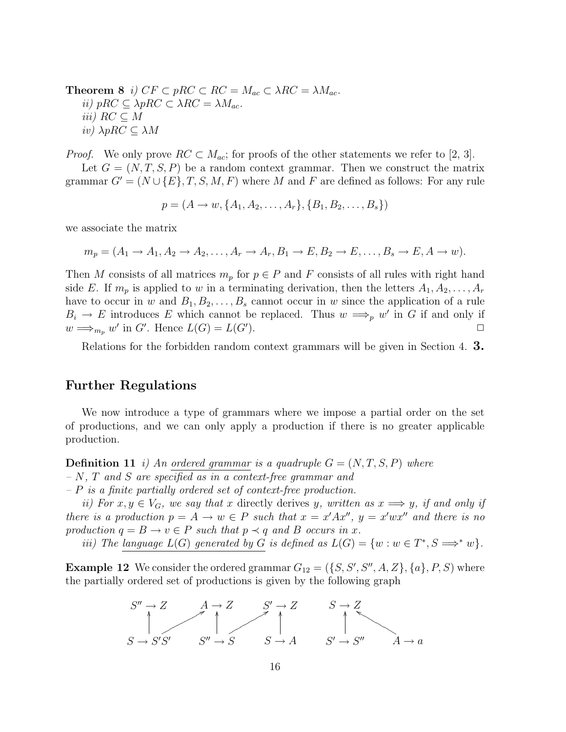**Theorem 8** i)  $CF \subset pRC \subset RC = M_{ac} \subset \lambda RC = \lambda M_{ac}$ . ii) pRC  $\subseteq \lambda pRC \subset \lambda RC = \lambda M_{ac}$ . iii)  $RC \subseteq M$ iv) λpRC ⊆ λM

*Proof.* We only prove  $RC \subset M_{ac}$ ; for proofs of the other statements we refer to [2, 3].

Let  $G = (N, T, S, P)$  be a random context grammar. Then we construct the matrix grammar  $G' = (N \cup \{E\}, T, S, M, F)$  where M and F are defined as follows: For any rule

 $p = (A \rightarrow w, \{A_1, A_2, \ldots, A_r\}, \{B_1, B_2, \ldots, B_s\})$ 

we associate the matrix

$$
m_p = (A_1 \rightarrow A_1, A_2 \rightarrow A_2, \dots, A_r \rightarrow A_r, B_1 \rightarrow E, B_2 \rightarrow E, \dots, B_s \rightarrow E, A \rightarrow w).
$$

Then M consists of all matrices  $m_p$  for  $p \in P$  and F consists of all rules with right hand side E. If  $m_p$  is applied to w in a terminating derivation, then the letters  $A_1, A_2, \ldots, A_r$ have to occur in w and  $B_1, B_2, \ldots, B_s$  cannot occur in w since the application of a rule  $B_i \to E$  introduces E which cannot be replaced. Thus  $w \Longrightarrow_{p} w'$  in G if and only if  $w \Longrightarrow_{m_p} w'$  in G'. Hence  $L(G) = L(G')$ ).  $\Box$ 

Relations for the forbidden random context grammars will be given in Section 4. 3.

#### Further Regulations

We now introduce a type of grammars where we impose a partial order on the set of productions, and we can only apply a production if there is no greater applicable production.

**Definition 11** i) An ordered grammar is a quadruple  $G = (N, T, S, P)$  where  $- N$ , T and S are specified as in a context-free grammar and

 $-P$  is a finite partially ordered set of context-free production.

ii) For  $x, y \in V_G$ , we say that x directly derives y, written as  $x \Longrightarrow y$ , if and only if there is a production  $p = A \rightarrow w \in P$  such that  $x = x'Ax''$ ,  $y = x'wx''$  and there is no production  $q = B \rightarrow v \in P$  such that  $p \prec q$  and B occurs in x.

iii) The language  $L(G)$  generated by G is defined as  $L(G) = \{w : w \in T^*, S \Longrightarrow^* w\}.$ 

**Example 12** We consider the ordered grammar  $G_{12} = (\{S, S', S'', A, Z\}, \{a\}, P, S)$  where the partially ordered set of productions is given by the following graph

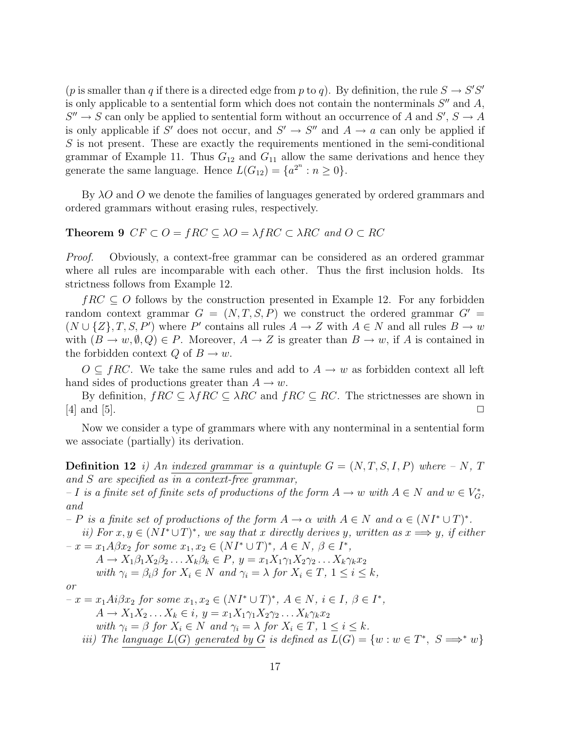(p is smaller than q if there is a directed edge from p to q). By definition, the rule  $S \to S'S'$ is only applicable to a sentential form which does not contain the nonterminals  $S''$  and  $A$ ,  $S'' \to S$  can only be applied to sentential form without an occurrence of A and  $S', S \to A$ is only applicable if S' does not occur, and  $S' \to S''$  and  $A \to a$  can only be applied if  $S$  is not present. These are exactly the requirements mentioned in the semi-conditional grammar of Example 11. Thus  $G_{12}$  and  $G_{11}$  allow the same derivations and hence they generate the same language. Hence  $L(G_{12}) = \{a^{2^n} : n \ge 0\}.$ 

By  $\lambda O$  and O we denote the families of languages generated by ordered grammars and ordered grammars without erasing rules, respectively.

#### **Theorem 9**  $CF \subset O = fRC \subseteq \lambda O = \lambda fRC \subset \lambda RC$  and  $O \subset RC$

*Proof.* Obviously, a context-free grammar can be considered as an ordered grammar where all rules are incomparable with each other. Thus the first inclusion holds. Its strictness follows from Example 12.

 $fRC \subseteq O$  follows by the construction presented in Example 12. For any forbidden random context grammar  $G = (N, T, S, P)$  we construct the ordered grammar  $G' =$  $(N \cup \{Z\}, T, S, P')$  where P' contains all rules  $A \to Z$  with  $A \in N$  and all rules  $B \to w$ with  $(B \to w, \emptyset, Q) \in P$ . Moreover,  $A \to Z$  is greater than  $B \to w$ , if A is contained in the forbidden context  $Q$  of  $B \to w$ .

 $O \subseteq fRC$ . We take the same rules and add to  $A \to w$  as forbidden context all left hand sides of productions greater than  $A \to w$ .

By definition,  $fRC \subseteq \lambda fRC \subseteq \lambda RC$  and  $fRC \subseteq RC$ . The strictnesses are shown in  $[4]$  and  $[5]$ .

Now we consider a type of grammars where with any nonterminal in a sentential form we associate (partially) its derivation.

**Definition 12** i) An indexed grammar is a quintuple  $G = (N, T, S, I, P)$  where  $-N$ , T and S are specified as in a context-free grammar,

 $-I$  is a finite set of finite sets of productions of the form  $A \to w$  with  $A \in N$  and  $w \in V_G^*$ , and

 $-P$  is a finite set of productions of the form  $A \to \alpha$  with  $A \in N$  and  $\alpha \in (NI^* \cup T)^*$ .

ii) For  $x, y \in (NI^* \cup T)^*$ , we say that x directly derives y, written as  $x \Longrightarrow y$ , if either  $-x = x_1 A \beta x_2$  for some  $x_1, x_2 \in (NI^* \cup T)^*, A \in N, \beta \in I^*,$ 

$$
A \to X_1 \beta_1 X_2 \beta_2 \dots X_k \beta_k \in P, \ y = x_1 X_1 \gamma_1 X_2 \gamma_2 \dots X_k \gamma_k x_2
$$
  
with  $\gamma_i = \beta_i \beta$  for  $X_i \in N$  and  $\gamma_i = \lambda$  for  $X_i \in T$ ,  $1 \le i \le k$ ,

$$
\overline{or}
$$

 $-x = x_1Ai\beta x_2$  for some  $x_1, x_2 \in (NI^* \cup T)^*$ ,  $A \in N$ ,  $i \in I$ ,  $\beta \in I^*$ ,  $A \rightarrow X_1 X_2 \ldots X_k \in i, y = x_1 X_1 \gamma_1 X_2 \gamma_2 \ldots X_k \gamma_k x_2$ with  $\gamma_i = \beta$  for  $X_i \in N$  and  $\gamma_i = \lambda$  for  $X_i \in T$ ,  $1 \leq i \leq k$ . iii) The language  $L(G)$  generated by G is defined as  $L(G) = \{w : w \in T^*, S \implies^* w\}$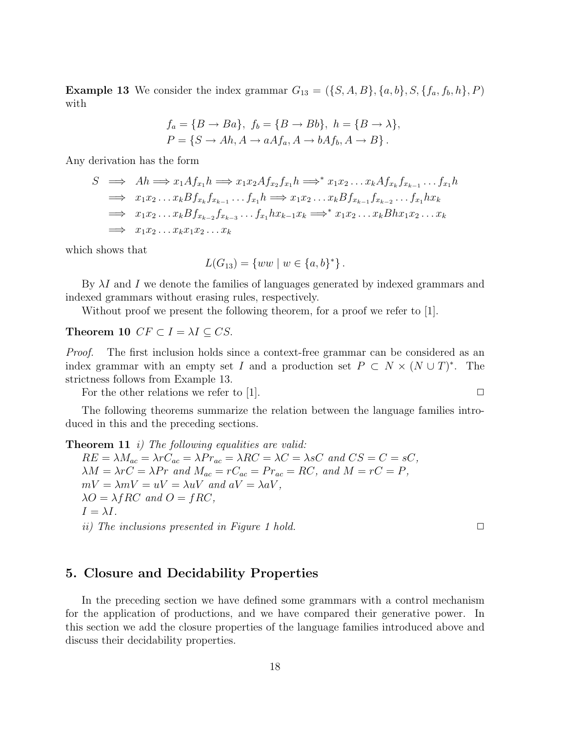**Example 13** We consider the index grammar  $G_{13} = (\{S, A, B\}, \{a, b\}, S, \{f_a, f_b, h\}, P)$ with

$$
f_a = \{B \rightarrow Ba\}, f_b = \{B \rightarrow Bb\}, h = \{B \rightarrow \lambda\},
$$
  

$$
P = \{S \rightarrow Ah, A \rightarrow aAf_a, A \rightarrow bAf_b, A \rightarrow B\}.
$$

Any derivation has the form

$$
S \implies Ah \implies x_1Af_{x_1}h \implies x_1x_2Af_{x_2}f_{x_1}h \implies^* x_1x_2 \dots x_kAf_{x_k}f_{x_{k-1}} \dots f_{x_1}h
$$
  
\n
$$
\implies x_1x_2 \dots x_kBf_{x_k}f_{x_{k-1}} \dots f_{x_1}h \implies x_1x_2 \dots x_kBf_{x_{k-1}}f_{x_{k-2}} \dots f_{x_1}hx_k
$$
  
\n
$$
\implies x_1x_2 \dots x_kBf_{x_{k-2}}f_{x_{k-3}} \dots f_{x_1}hx_{k-1}x_k \implies^* x_1x_2 \dots x_kBhx_1x_2 \dots x_k
$$
  
\n
$$
\implies x_1x_2 \dots x_kx_1x_2 \dots x_k
$$

which shows that

$$
L(G_{13}) = \{ww \mid w \in \{a, b\}^*\}.
$$

By  $\lambda I$  and I we denote the families of languages generated by indexed grammars and indexed grammars without erasing rules, respectively.

Without proof we present the following theorem, for a proof we refer to [1].

#### Theorem 10  $CF \subset I = \lambda I \subseteq CS$ .

*Proof.* The first inclusion holds since a context-free grammar can be considered as an index grammar with an empty set I and a production set  $P \subset N \times (N \cup T)^*$ . The strictness follows from Example 13.

For the other relations we refer to [1].  $\Box$ 

The following theorems summarize the relation between the language families introduced in this and the preceding sections.

**Theorem 11** i) The following equalities are valid:  $RE = \lambda M_{ac} = \lambda r C_{ac} = \lambda Pr_{ac} = \lambda RC = \lambda C = \lambda sC$  and  $CS = C = sC$ ,  $\lambda M = \lambda rC = \lambda Pr$  and  $M_{ac} = rC_{ac} = Pr_{ac} = RC$ , and  $M = rC = P$ ,  $mV = \lambda mV = uV = \lambda uV$  and  $aV = \lambda aV$ ,  $\lambda O = \lambda f R C$  and  $O = f R C$ ,  $I = \lambda I$ . ii) The inclusions presented in Figure 1 hold.  $\square$ 

#### 5. Closure and Decidability Properties

In the preceding section we have defined some grammars with a control mechanism for the application of productions, and we have compared their generative power. In this section we add the closure properties of the language families introduced above and discuss their decidability properties.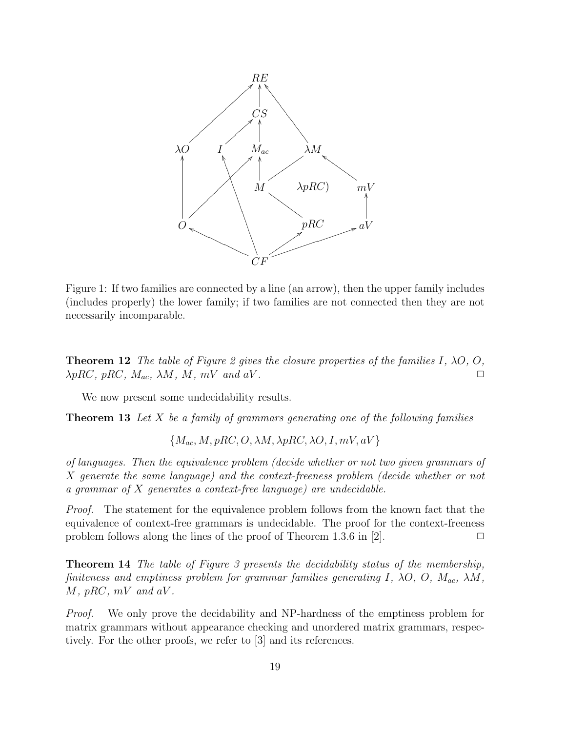

Figure 1: If two families are connected by a line (an arrow), then the upper family includes (includes properly) the lower family; if two families are not connected then they are not necessarily incomparable.

**Theorem 12** The table of Figure 2 gives the closure properties of the families I,  $\lambda O$ , O,  $\lambda pRC, pRC, M_{ac}, \lambda M, M, mV \text{ and } aV.$ 

We now present some undecidability results.

**Theorem 13** Let  $X$  be a family of grammars generating one of the following families

 ${M_{ac}, M, pRC, O, \lambda M, \lambda pRC, \lambda O, I, mV, aV}$ 

of languages. Then the equivalence problem (decide whether or not two given grammars of X generate the same language) and the context-freeness problem (decide whether or not a grammar of X generates a context-free language) are undecidable.

Proof. The statement for the equivalence problem follows from the known fact that the equivalence of context-free grammars is undecidable. The proof for the context-freeness problem follows along the lines of the proof of Theorem 1.3.6 in [2].  $\Box$ 

Theorem 14 The table of Figure 3 presents the decidability status of the membership, finiteness and emptiness problem for grammar families generating I,  $\lambda O$ ,  $O$ ,  $M_{ac}$ ,  $\lambda M$ ,  $M$ , pRC, mV and aV.

Proof. We only prove the decidability and NP-hardness of the emptiness problem for matrix grammars without appearance checking and unordered matrix grammars, respectively. For the other proofs, we refer to [3] and its references.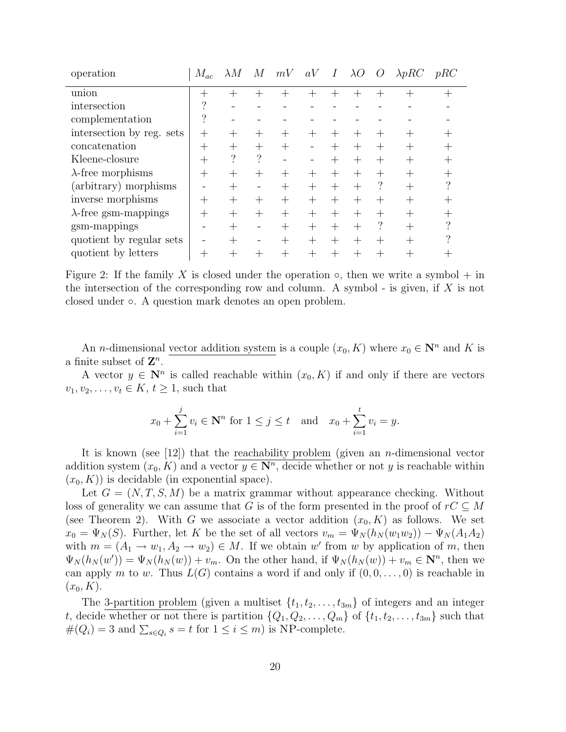| operation                    | $M_{ac}$ | $\lambda M$ | M       | mV | $aV$ I |        | $\lambda O$ | $\overline{O}$ | $\lambda pRC$ | pRC |
|------------------------------|----------|-------------|---------|----|--------|--------|-------------|----------------|---------------|-----|
| union                        |          |             |         |    |        |        |             |                |               |     |
| intersection                 | റ        |             |         |    |        |        |             |                |               |     |
| complementation              | ?        |             |         |    |        |        |             |                |               |     |
| intersection by reg. sets    | $^+$     |             |         |    |        |        |             |                |               |     |
| concatenation                |          |             |         |    |        |        |             |                |               |     |
| Kleene-closure               |          | ?           | ?       |    |        |        |             |                | $^+$          |     |
| $\lambda$ -free morphisms    |          |             | $^{+}$  |    | $^+$   |        |             |                |               |     |
| (arbitrary) morphisms        |          | $^{+}$      |         |    | $^{+}$ | $^{+}$ |             |                |               |     |
| inverse morphisms            |          |             | $^{+}$  |    | $^{+}$ | $^{+}$ |             |                |               |     |
| $\lambda$ -free gsm-mappings |          | $^{+}$      | $\!+\!$ |    | $^{+}$ | $^{+}$ | $+$         |                |               |     |
| gsm-mappings                 |          | $^{+}$      |         |    | $^{+}$ | $^{+}$ |             |                | $+$           |     |
| quotient by regular sets     |          |             |         |    | $^{+}$ | $^{+}$ | $^{+}$      |                | $^{+}$        |     |
| quotient by letters          |          |             |         |    |        |        |             |                |               |     |

Figure 2: If the family X is closed under the operation  $\circ$ , then we write a symbol + in the intersection of the corresponding row and column. A symbol - is given, if  $X$  is not closed under ◦. A question mark denotes an open problem.

An *n*-dimensional vector addition system is a couple  $(x_0, K)$  where  $x_0 \in \mathbb{N}^n$  and K is a finite subset of  $\mathbb{Z}^n$ .

A vector  $y \in \mathbb{N}^n$  is called reachable within  $(x_0, K)$  if and only if there are vectors  $v_1, v_2, \ldots, v_t \in K, t \geq 1$ , such that

$$
x_0 + \sum_{i=1}^j v_i \in \mathbb{N}^n
$$
 for  $1 \le j \le t$  and  $x_0 + \sum_{i=1}^t v_i = y$ .

It is known (see [12]) that the reachability problem (given an *n*-dimensional vector addition system  $(x_0, K)$  and a vector  $y \in \mathbb{N}^n$ , decide whether or not y is reachable within  $(x_0, K)$  is decidable (in exponential space).

Let  $G = (N, T, S, M)$  be a matrix grammar without appearance checking. Without loss of generality we can assume that G is of the form presented in the proof of  $rC \subseteq M$ (see Theorem 2). With G we associate a vector addition  $(x_0, K)$  as follows. We set  $x_0 = \Psi_N(S)$ . Further, let K be the set of all vectors  $v_m = \Psi_N(h_N(w_1w_2)) - \Psi_N(A_1A_2)$ with  $m = (A_1 \rightarrow w_1, A_2 \rightarrow w_2) \in M$ . If we obtain w' from w by application of m, then  $\Psi_N(h_N(w')) = \Psi_N(h_N(w)) + v_m$ . On the other hand, if  $\Psi_N(h_N(w)) + v_m \in \mathbb{N}^n$ , then we can apply m to w. Thus  $L(G)$  contains a word if and only if  $(0, 0, \ldots, 0)$  is reachable in  $(x_0, K)$ .

The 3-partition problem (given a multiset  $\{t_1, t_2, \ldots, t_{3m}\}$  of integers and an integer t, decide whether or not there is partition  $\{Q_1, Q_2, \ldots, Q_m\}$  of  $\{t_1, t_2, \ldots, t_{3m}\}$  such that  $\#(Q_i) = 3$  and  $\sum_{s \in Q_i} s = t$  for  $1 \le i \le m$ ) is NP-complete.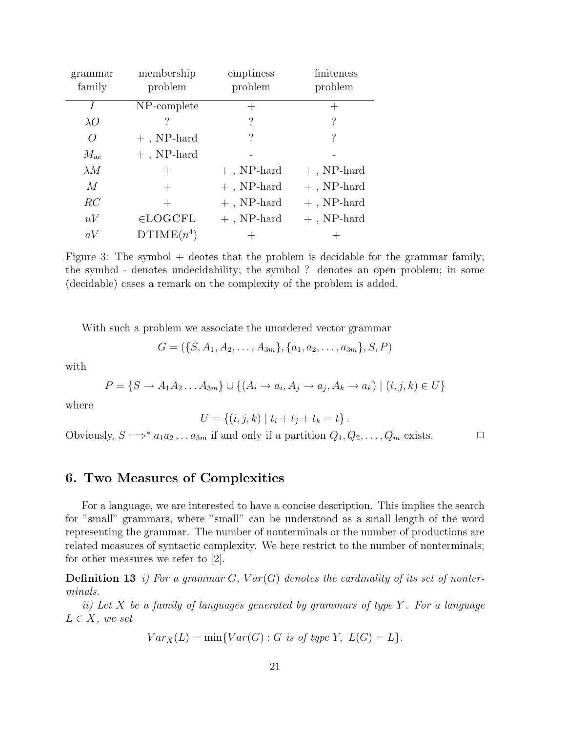| grammar<br>family | membership<br>problem | emptiness<br>problem | finiteness<br>problem |
|-------------------|-----------------------|----------------------|-----------------------|
| I                 | NP-complete           |                      | $^+$                  |
| $\lambda O$       |                       | ?                    | $\overline{\cdot}$    |
| $\overline{O}$    | $+$ , NP-hard         | $\overline{\cdot}$   | ?                     |
| $M_{ac}$          | $+$ , NP-hard         |                      |                       |
| $\lambda M$       | $^{+}$                | $+$ , NP-hard        | $+$ , NP-hard         |
| M                 | $^+$                  | $+$ , NP-hard        | $+$ , NP-hard         |
| RC                | $^+$                  | $+$ , NP-hard        | $+$ , NP-hard         |
| uV                | $\in$ LOGCFL          | $+$ , NP-hard        | $+$ , NP-hard         |
| aV                | $DTIME(n^4)$          |                      |                       |

Figure 3: The symbol  $+$  deotes that the problem is decidable for the grammar family; the symbol - denotes undecidability; the symbol ? denotes an open problem; in some (decidable) cases a remark on the complexity of the problem is added.

With such a problem we associate the unordered vector grammar

$$
G = (\{S, A_1, A_2, \ldots, A_{3m}\}, \{a_1, a_2, \ldots, a_{3m}\}, S, P)
$$

with

$$
P = \{S \to A_1 A_2 \dots A_{3m}\} \cup \{(A_i \to a_i, A_j \to a_j, A_k \to a_k) \mid (i, j, k) \in U\}
$$

where

$$
U = \{(i, j, k) | t_i + t_j + t_k = t\}.
$$

Obviously,  $S \implies^* a_1 a_2 \dots a_{3m}$  if and only if a partition  $Q_1, Q_2, \dots, Q_m$  exists.  $\Box$ 

#### 6. Two Measures of Complexities

For a language, we are interested to have a concise description. This implies the search for "small" grammars, where "small" can be understood as a small length of the word representing the grammar. The number of nonterminals or the number of productions are related measures of syntactic complexity. We here restrict to the number of nonterminals; for other measures we refer to [2].

**Definition 13** i) For a grammar G,  $Var(G)$  denotes the cardinality of its set of nonterminals.

ii) Let X be a family of languages generated by grammars of type Y. For a language  $L \in X$ , we set

$$
Var_X(L) = \min\{Var(G) : G \text{ is of type } Y, L(G) = L\}.
$$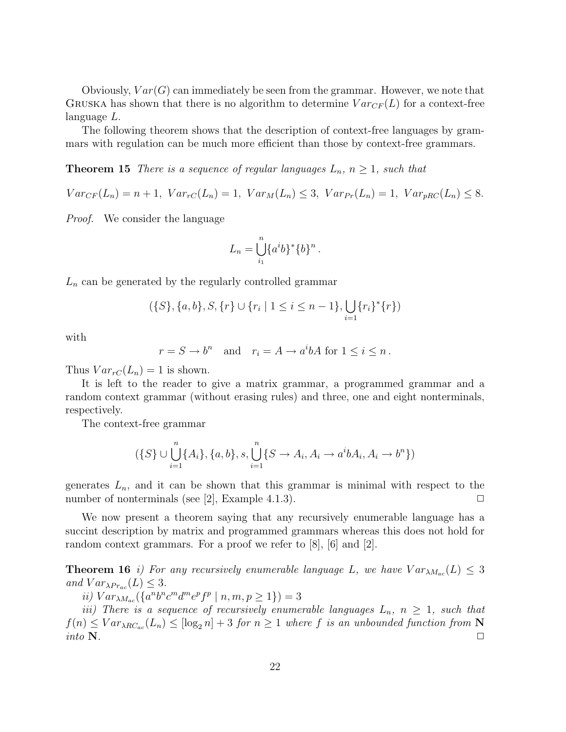Obviously,  $Var(G)$  can immediately be seen from the grammar. However, we note that GRUSKA has shown that there is no algorithm to determine  $Var_{CF}(L)$  for a context-free language L.

The following theorem shows that the description of context-free languages by grammars with regulation can be much more efficient than those by context-free grammars.

**Theorem 15** There is a sequence of regular languages  $L_n$ ,  $n \geq 1$ , such that

 $Var_{CF}(L_n) = n + 1$ ,  $Var_{TC}(L_n) = 1$ ,  $Var_M(L_n) \leq 3$ ,  $Var_{PF}(L_n) = 1$ ,  $Var_{pRC}(L_n) \leq 8$ .

Proof. We consider the language

$$
L_n = \bigcup_{i_1}^n \{a^i b\}^* \{b\}^n.
$$

 $L_n$  can be generated by the regularly controlled grammar

$$
(\{S\}, \{a, b\}, S, \{r\} \cup \{r_i \mid 1 \le i \le n-1\}, \bigcup_{i=1} \{r_i\}^*\{r\})
$$

with

$$
r = S \to b^n
$$
 and  $r_i = A \to a^i b A$  for  $1 \le i \le n$ .

Thus  $Var_{rC}(L_n) = 1$  is shown.

It is left to the reader to give a matrix grammar, a programmed grammar and a random context grammar (without erasing rules) and three, one and eight nonterminals, respectively.

The context-free grammar

$$
(\{S\} \cup \bigcup_{i=1}^{n} \{A_i\}, \{a, b\}, s, \bigcup_{i=1}^{n} \{S \to A_i, A_i \to a^i b A_i, A_i \to b^n\})
$$

generates  $L_n$ , and it can be shown that this grammar is minimal with respect to the number of nonterminals (see [2], Example 4.1.3).  $\square$ 

We now present a theorem saying that any recursively enumerable language has a succint description by matrix and programmed grammars whereas this does not hold for random context grammars. For a proof we refer to [8], [6] and [2].

**Theorem 16** i) For any recursively enumerable language L, we have  $Var_{\lambda M_{ac}}(L) \leq 3$ and  $Var_{\lambda Pr_{ac}}(L) \leq 3$ .

ii)  $Var_{\lambda M_{ac}}(\lbrace a^{n}b^{n}c^{m}d^{m}e^{p}f^{p} | n, m, p \geq 1 \rbrace) = 3$ 

iii) There is a sequence of recursively enumerable languages  $L_n$ ,  $n \geq 1$ , such that  $f(n) \leq Var_{\lambda RC_{ac}}(L_n) \leq [\log_2 n] + 3$  for  $n \geq 1$  where f is an unbounded function from N into  $N$ .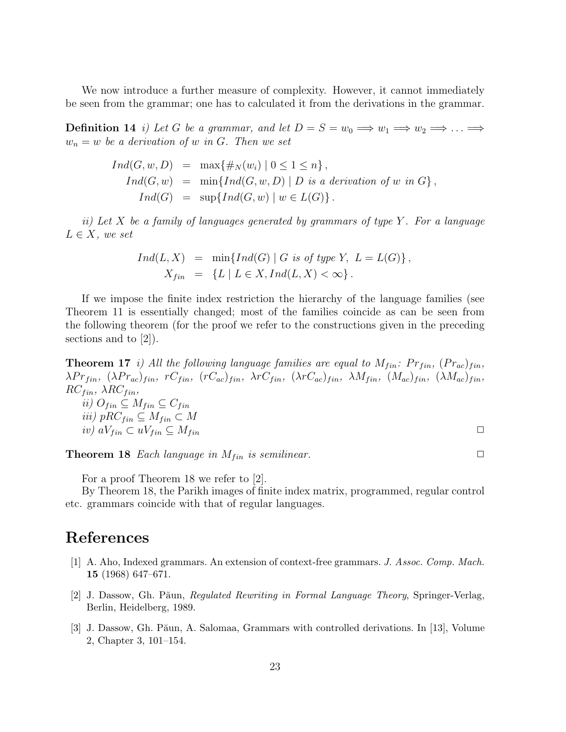We now introduce a further measure of complexity. However, it cannot immediately be seen from the grammar; one has to calculated it from the derivations in the grammar.

**Definition 14** i) Let G be a grammar, and let  $D = S = w_0 \implies w_1 \implies w_2 \implies \dots \implies$  $w_n = w$  be a derivation of w in G. Then we set

$$
Ind(G, w, D) = \max\{\#_N(w_i) \mid 0 \leq 1 \leq n\},
$$
  
\n
$$
Ind(G, w) = \min\{Ind(G, w, D) \mid D \text{ is a derivation of } w \text{ in } G\},
$$
  
\n
$$
Ind(G) = \sup\{Ind(G, w) \mid w \in L(G)\}.
$$

ii) Let X be a family of languages generated by grammars of type  $Y$ . For a language  $L \in X$ , we set

$$
Ind(L, X) = \min\{Ind(G) | G \text{ is of type } Y, L = L(G)\},
$$
  

$$
X_{fin} = \{L | L \in X, Ind(L, X) < \infty\}.
$$

If we impose the finite index restriction the hierarchy of the language families (see Theorem 11 is essentially changed; most of the families coincide as can be seen from the following theorem (for the proof we refer to the constructions given in the preceding sections and to [2]).

**Theorem 17** i) All the following language families are equal to  $M_{fin}$ :  $Pr_{fin}$ ,  $(Pr_{ac})_{fin}$ ,  $\lambda Pr_{fin}$ ,  $(\lambda Pr_{ac})_{fin}$ ,  $rC_{fin}$ ,  $(rC_{ac})_{fin}$ ,  $\lambda rC_{fin}$ ,  $(\lambda rC_{ac})_{fin}$ ,  $\lambda M_{fin}$ ,  $(M_{ac})_{fin}$ ,  $(\lambda M_{ac})_{fin}$ ,  $RC_{fin}$ ,  $\lambda RC_{fin}$ ,

$$
ii) O_{fin} \subseteq M_{fin} \subseteq C_{fin}
$$
  

$$
iii) pRC_{fin} \subseteq M_{fin} \subset M
$$
  

$$
iv) aV_{fin} \subseteq uV_{fin} \subseteq M_{fin}
$$

**Theorem 18** Each language in  $M_{fin}$  is semilinear.  $\Box$ 

For a proof Theorem 18 we refer to [2].

By Theorem 18, the Parikh images of finite index matrix, programmed, regular control etc. grammars coincide with that of regular languages.

# References

- [1] A. Aho, Indexed grammars. An extension of context-free grammars. J. Assoc. Comp. Mach. 15 (1968) 647–671.
- [2] J. Dassow, Gh. Păun, *Regulated Rewriting in Formal Language Theory*, Springer-Verlag, Berlin, Heidelberg, 1989.
- [3] J. Dassow, Gh. Păun, A. Salomaa, Grammars with controlled derivations. In [13], Volume 2, Chapter 3, 101–154.